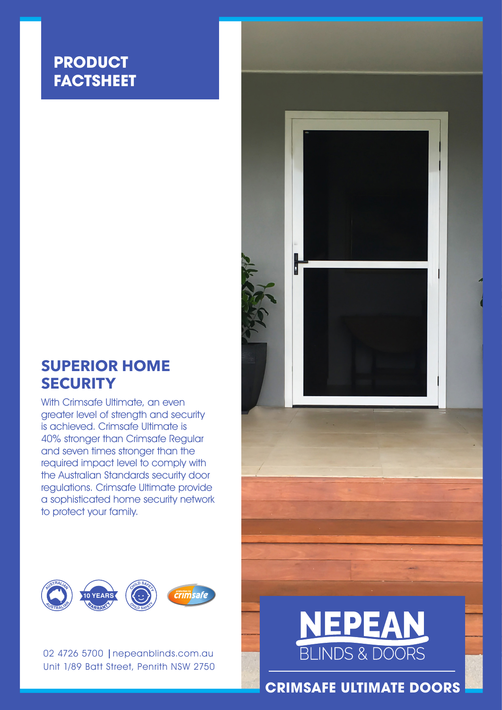## **PRODUCT FACTSHEET**

### **SUPERIOR HOME SECURITY**

With Crimsafe Ultimate, an even greater level of strength and security is achieved. Crimsafe Ultimate is 40% stronger than Crimsafe Regular and seven times stronger than the required impact level to comply with the Australian Standards security door regulations. Crimsafe Ultimate provide a sophisticated home security network to protect your family.



02 4726 5700 | nepeanblinds.com.au Unit 1/89 Batt Street, Penrith NSW 2750





**CRIMSAFE ULTIMATE DOORS**